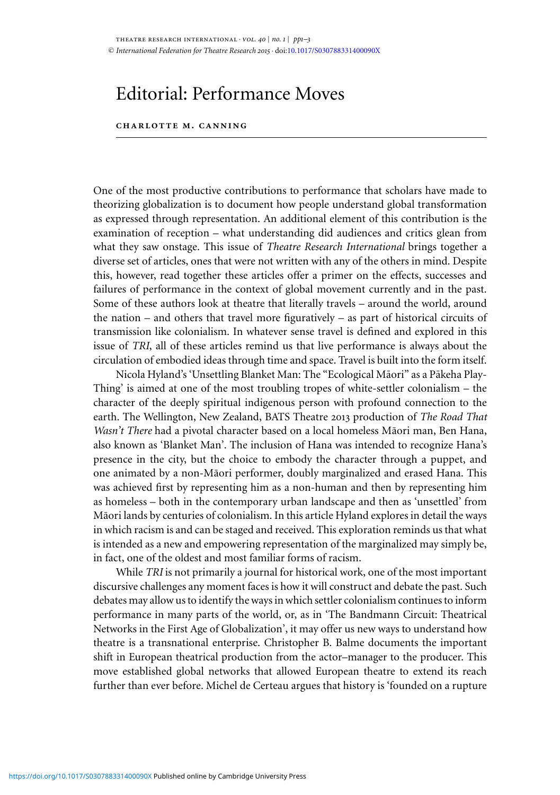## Editorial: Performance Moves

## **charlotte m. canning**

One of the most productive contributions to performance that scholars have made to theorizing globalization is to document how people understand global transformation as expressed through representation. An additional element of this contribution is the examination of reception – what understanding did audiences and critics glean from what they saw onstage. This issue of *Theatre Research International* brings together a diverse set of articles, ones that were not written with any of the others in mind. Despite this, however, read together these articles offer a primer on the effects, successes and failures of performance in the context of global movement currently and in the past. Some of these authors look at theatre that literally travels – around the world, around the nation – and others that travel more figuratively – as part of historical circuits of transmission like colonialism. In whatever sense travel is defined and explored in this issue of *TRI*, all of these articles remind us that live performance is always about the circulation of embodied ideas through time and space. Travel is built into the form itself.

Nicola Hyland's 'Unsettling Blanket Man: The "Ecological Māori" as a Pākeha Play-Thing' is aimed at one of the most troubling tropes of white-settler colonialism – the character of the deeply spiritual indigenous person with profound connection to the earth. The Wellington, New Zealand, BATS Theatre 2013 production of *The Road That Wasn't There* had a pivotal character based on a local homeless Māori man, Ben Hana, also known as 'Blanket Man'. The inclusion of Hana was intended to recognize Hana's presence in the city, but the choice to embody the character through a puppet, and one animated by a non-Maori performer, doubly marginalized and erased Hana. This ¯ was achieved first by representing him as a non-human and then by representing him as homeless – both in the contemporary urban landscape and then as 'unsettled' from Maori lands by centuries of colonialism. In this article Hyland explores in detail the ways ¯ in which racism is and can be staged and received. This exploration reminds us that what is intended as a new and empowering representation of the marginalized may simply be, in fact, one of the oldest and most familiar forms of racism.

While *TRI* is not primarily a journal for historical work, one of the most important discursive challenges any moment faces is how it will construct and debate the past. Such debates may allow us to identify the ways in which settler colonialism continues to inform performance in many parts of the world, or, as in 'The Bandmann Circuit: Theatrical Networks in the First Age of Globalization', it may offer us new ways to understand how theatre is a transnational enterprise. Christopher B. Balme documents the important shift in European theatrical production from the actor–manager to the producer. This move established global networks that allowed European theatre to extend its reach further than ever before. Michel de Certeau argues that history is 'founded on a rupture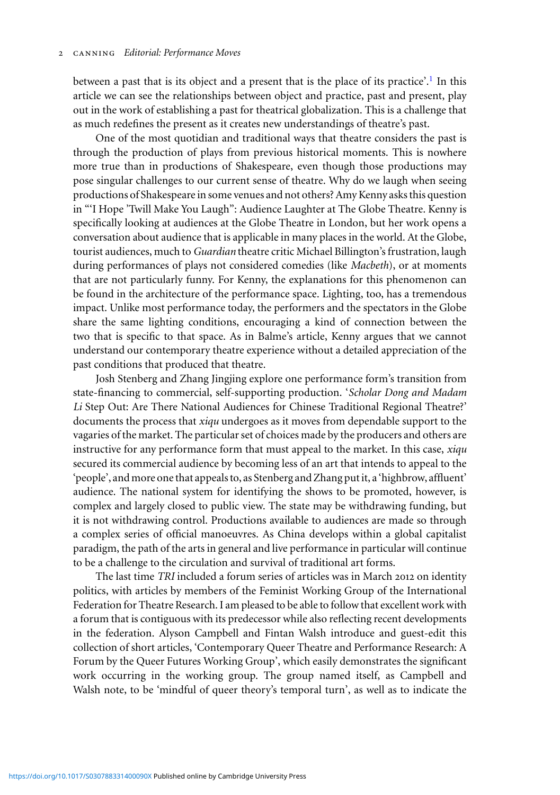between a past that is its object and a present that is the place of its practice'[.](#page-2-0)<sup>1</sup> In this article we can see the relationships between object and practice, past and present, play out in the work of establishing a past for theatrical globalization. This is a challenge that as much redefines the present as it creates new understandings of theatre's past.

One of the most quotidian and traditional ways that theatre considers the past is through the production of plays from previous historical moments. This is nowhere more true than in productions of Shakespeare, even though those productions may pose singular challenges to our current sense of theatre. Why do we laugh when seeing productions of Shakespeare in some venues and not others? Amy Kenny asks this question in "'I Hope 'Twill Make You Laugh": Audience Laughter at The Globe Theatre. Kenny is specifically looking at audiences at the Globe Theatre in London, but her work opens a conversation about audience that is applicable in many places in the world. At the Globe, tourist audiences, much to *Guardian* theatre critic Michael Billington's frustration, laugh during performances of plays not considered comedies (like *Macbeth*), or at moments that are not particularly funny. For Kenny, the explanations for this phenomenon can be found in the architecture of the performance space. Lighting, too, has a tremendous impact. Unlike most performance today, the performers and the spectators in the Globe share the same lighting conditions, encouraging a kind of connection between the two that is specific to that space. As in Balme's article, Kenny argues that we cannot understand our contemporary theatre experience without a detailed appreciation of the past conditions that produced that theatre.

Josh Stenberg and Zhang Jingjing explore one performance form's transition from state-financing to commercial, self-supporting production. '*Scholar Dong and Madam Li* Step Out: Are There National Audiences for Chinese Traditional Regional Theatre?' documents the process that *xiqu* undergoes as it moves from dependable support to the vagaries of the market. The particular set of choices made by the producers and others are instructive for any performance form that must appeal to the market. In this case, *xiqu* secured its commercial audience by becoming less of an art that intends to appeal to the 'people', and more one that appeals to, as Stenberg and Zhang put it, a 'highbrow, affluent' audience. The national system for identifying the shows to be promoted, however, is complex and largely closed to public view. The state may be withdrawing funding, but it is not withdrawing control. Productions available to audiences are made so through a complex series of official manoeuvres. As China develops within a global capitalist paradigm, the path of the arts in general and live performance in particular will continue to be a challenge to the circulation and survival of traditional art forms.

The last time *TRI* included a forum series of articles was in March 2012 on identity politics, with articles by members of the Feminist Working Group of the International Federation for Theatre Research. I am pleased to be able to follow that excellent work with a forum that is contiguous with its predecessor while also reflecting recent developments in the federation. Alyson Campbell and Fintan Walsh introduce and guest-edit this collection of short articles, 'Contemporary Queer Theatre and Performance Research: A Forum by the Queer Futures Working Group', which easily demonstrates the significant work occurring in the working group. The group named itself, as Campbell and Walsh note, to be 'mindful of queer theory's temporal turn', as well as to indicate the